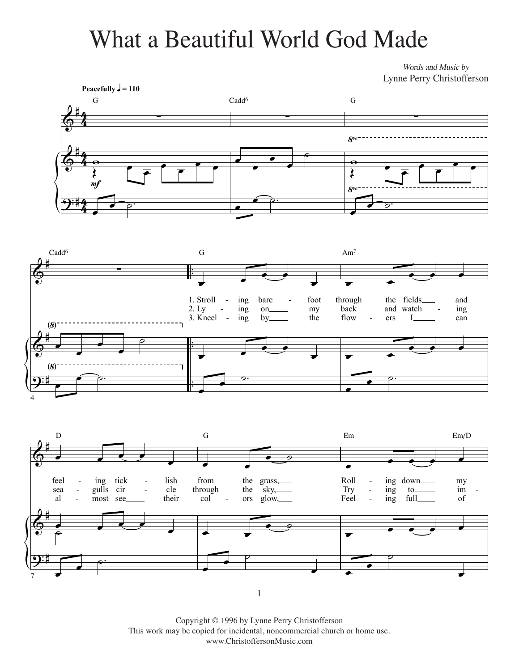## What a Beautiful World God Made What a Beautiful World God Made

*Words and Music by* Words and Music by Lynne Perry Christofferson Lynne Perry Christofferson







Copyright © 1996 by Lynne Perry Christofferson This work may be copied for incidental, noncommercial church or home use. www.ChristoffersonMusic.com